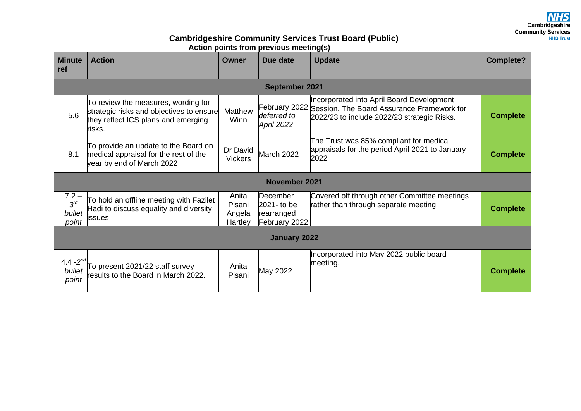Cambridgeshire **Community Services NHS Trust** 

## **Cambridgeshire Community Services Trust Board (Public) Action points from previous meeting(s)**

| <b>Minute</b><br>ref                   | <b>Action</b>                                                                                                                    | Owner                                | Due date                                                      | <b>Update</b>                                                                                                                                         | <b>Complete?</b> |  |  |  |
|----------------------------------------|----------------------------------------------------------------------------------------------------------------------------------|--------------------------------------|---------------------------------------------------------------|-------------------------------------------------------------------------------------------------------------------------------------------------------|------------------|--|--|--|
| <b>September 2021</b>                  |                                                                                                                                  |                                      |                                                               |                                                                                                                                                       |                  |  |  |  |
| 5.6                                    | To review the measures, wording for<br>strategic risks and objectives to ensure<br>they reflect ICS plans and emerging<br>risks. | Matthew<br>Winn                      | deferred to<br>April 2022                                     | Incorporated into April Board Development<br>February 2022: Session. The Board Assurance Framework for<br>2022/23 to include 2022/23 strategic Risks. | <b>Complete</b>  |  |  |  |
| 8.1                                    | To provide an update to the Board on<br>medical appraisal for the rest of the<br>year by end of March 2022                       | Dr David<br><b>Vickers</b>           | March 2022                                                    | The Trust was 85% compliant for medical<br>appraisals for the period April 2021 to January<br>2022                                                    | <b>Complete</b>  |  |  |  |
| <b>November 2021</b>                   |                                                                                                                                  |                                      |                                                               |                                                                                                                                                       |                  |  |  |  |
| $7.2 -$<br>$3^{rd}$<br>bullet<br>point | To hold an offline meeting with Fazilet<br>Hadi to discuss equality and diversity<br>issues                                      | Anita<br>Pisani<br>Angela<br>Hartley | <b>December</b><br>2021- to be<br>rearranged<br>February 2022 | Covered off through other Committee meetings<br>rather than through separate meeting.                                                                 | <b>Complete</b>  |  |  |  |
| January 2022                           |                                                                                                                                  |                                      |                                                               |                                                                                                                                                       |                  |  |  |  |
| 4.4 $-2^{nd}$<br>bullet<br>point       | To present 2021/22 staff survey<br>esults to the Board in March 2022.                                                            | Anita<br>Pisani                      | May 2022                                                      | Incorporated into May 2022 public board<br>meeting.                                                                                                   | <b>Complete</b>  |  |  |  |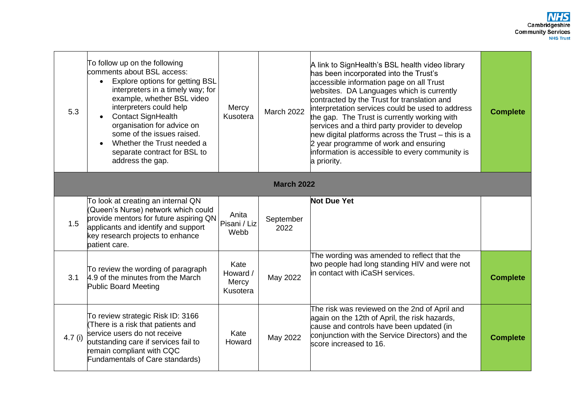| 5.3               | To follow up on the following<br>comments about BSL access:<br>Explore options for getting BSL<br>$\bullet$<br>interpreters in a timely way; for<br>example, whether BSL video<br>interpreters could help<br><b>Contact SignHealth</b><br>organisation for advice on<br>some of the issues raised.<br>Whether the Trust needed a<br>separate contract for BSL to<br>address the gap. | Mercy<br>Kusotera                     | <b>March 2022</b> | A link to SignHealth's BSL health video library<br>has been incorporated into the Trust's<br>accessible information page on all Trust<br>websites. DA Languages which is currently<br>contracted by the Trust for translation and<br>interpretation services could be used to address<br>the gap. The Trust is currently working with<br>services and a third party provider to develop<br>hew digital platforms across the Trust $-$ this is a<br>2 year programme of work and ensuring<br>information is accessible to every community is<br>a priority. | <b>Complete</b> |  |
|-------------------|--------------------------------------------------------------------------------------------------------------------------------------------------------------------------------------------------------------------------------------------------------------------------------------------------------------------------------------------------------------------------------------|---------------------------------------|-------------------|------------------------------------------------------------------------------------------------------------------------------------------------------------------------------------------------------------------------------------------------------------------------------------------------------------------------------------------------------------------------------------------------------------------------------------------------------------------------------------------------------------------------------------------------------------|-----------------|--|
| <b>March 2022</b> |                                                                                                                                                                                                                                                                                                                                                                                      |                                       |                   |                                                                                                                                                                                                                                                                                                                                                                                                                                                                                                                                                            |                 |  |
| 1.5               | To look at creating an internal QN<br>(Queen's Nurse) network which could<br>provide mentors for future aspiring QN<br>applicants and identify and support<br>key research projects to enhance<br>patient care.                                                                                                                                                                      | Anita<br>Pisani / Liz<br>Webb         | September<br>2022 | <b>Not Due Yet</b>                                                                                                                                                                                                                                                                                                                                                                                                                                                                                                                                         |                 |  |
| 3.1               | To review the wording of paragraph<br>4.9 of the minutes from the March<br><b>Public Board Meeting</b>                                                                                                                                                                                                                                                                               | Kate<br>Howard /<br>Mercy<br>Kusotera | May 2022          | The wording was amended to reflect that the<br>two people had long standing HIV and were not<br>in contact with iCaSH services.                                                                                                                                                                                                                                                                                                                                                                                                                            | <b>Complete</b> |  |
| $4.7$ (i)         | To review strategic Risk ID: 3166<br>(There is a risk that patients and<br>service users do not receive<br>outstanding care if services fail to<br>remain compliant with CQC<br><b>Fundamentals of Care standards)</b>                                                                                                                                                               | Kate<br>Howard                        | May 2022          | The risk was reviewed on the 2nd of April and<br>again on the 12th of April, the risk hazards,<br>cause and controls have been updated (in<br>conjunction with the Service Directors) and the<br>score increased to 16.                                                                                                                                                                                                                                                                                                                                    | <b>Complete</b> |  |